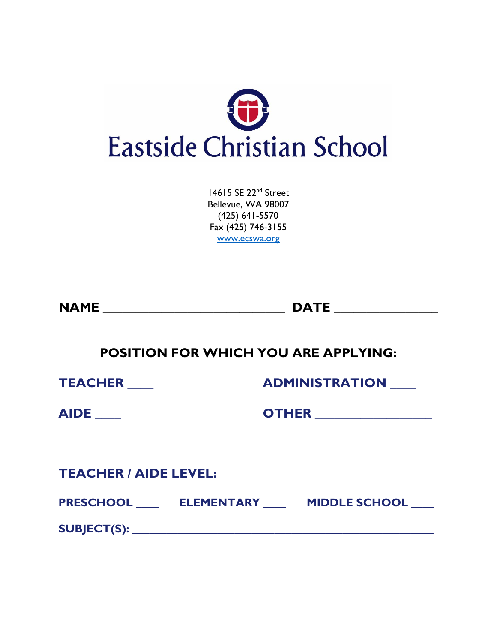

14615 SE 22<sup>nd</sup> Street Bellevue, WA 98007 (425) 641-5570 Fax (425) 746-3155 [www.ecswa.org](http://www.ecswa.org/)

**NAME \_\_\_\_\_\_\_\_\_\_\_\_\_\_\_\_\_\_\_\_\_\_\_\_\_\_\_\_ DATE \_\_\_\_\_\_\_\_\_\_\_\_\_\_\_\_**

**POSITION FOR WHICH YOU ARE APPLYING:**

**TEACHER \_\_\_\_ ADMINISTRATION \_\_\_\_**

**AIDE \_\_\_\_ OTHER \_\_\_\_\_\_\_\_\_\_\_\_\_\_\_\_\_\_**

**TEACHER / AIDE LEVEL:** 

**PRESCHOOL \_\_\_\_ ELEMENTARY \_\_\_\_ MIDDLE SCHOOL \_\_\_\_**

**SUBJECT(S): \_\_\_\_\_\_\_\_\_\_\_\_\_\_\_\_\_\_\_\_\_\_\_\_\_\_\_\_\_\_\_\_\_\_\_\_\_\_\_\_\_\_\_\_\_\_\_\_\_\_\_\_\_**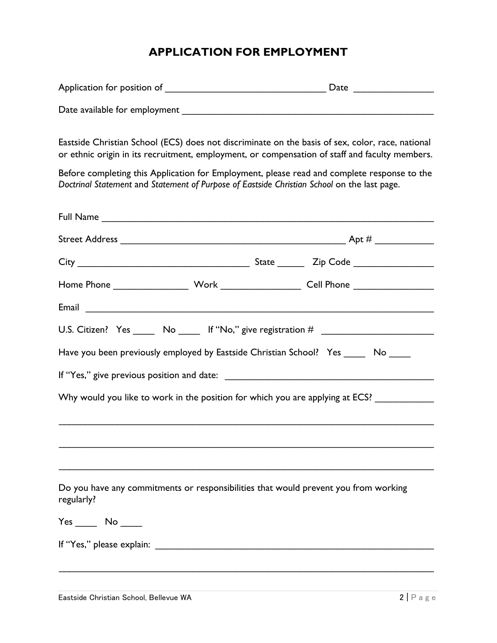# **APPLICATION FOR EMPLOYMENT**

| Application for position of   | Date |
|-------------------------------|------|
|                               |      |
| Date available for employment |      |

Eastside Christian School (ECS) does not discriminate on the basis of sex, color, race, national or ethnic origin in its recruitment, employment, or compensation of staff and faculty members.

Before completing this Application for Employment, please read and complete response to the *Doctrinal Statement* and *Statement of Purpose of Eastside Christian School* on the last page.

|            |  | Home Phone __________________________Work _______________________Cell Phone ________________________ |
|------------|--|------------------------------------------------------------------------------------------------------|
|            |  |                                                                                                      |
|            |  |                                                                                                      |
|            |  | Have you been previously employed by Eastside Christian School? Yes _____ No _____                   |
|            |  |                                                                                                      |
|            |  | Why would you like to work in the position for which you are applying at ECS? ____________           |
| regularly? |  | Do you have any commitments or responsibilities that would prevent you from working                  |
|            |  |                                                                                                      |
|            |  |                                                                                                      |
|            |  |                                                                                                      |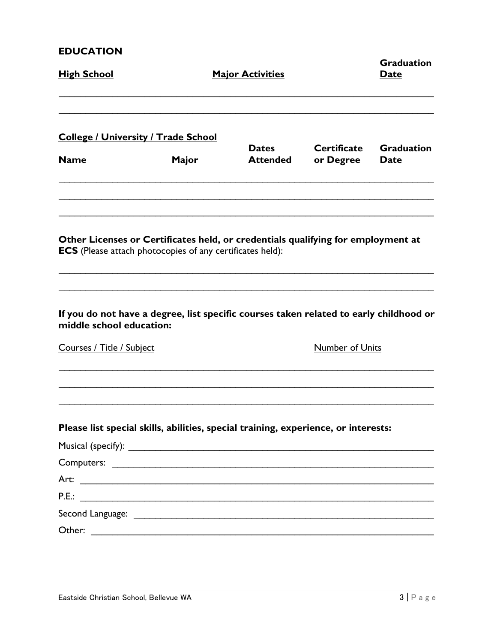## **EDUCATION**

| <u>High School</u>                                                                                                                                     |              | <b>Major Activities</b>         |                                        | <b>Graduation</b><br>Date |
|--------------------------------------------------------------------------------------------------------------------------------------------------------|--------------|---------------------------------|----------------------------------------|---------------------------|
| <u> College / University / Trade School</u><br><b>Name</b>                                                                                             | <u>Major</u> | <b>Dates</b><br><b>Attended</b> | <b>Certificate</b><br><u>or Degree</u> | <b>Graduation</b><br>Date |
| Other Licenses or Certificates held, or credentials qualifying for employment at<br><b>ECS</b> (Please attach photocopies of any certificates held):   |              |                                 |                                        |                           |
| If you do not have a degree, list specific courses taken related to early childhood or<br>middle school education:<br><b>Courses / Title / Subject</b> |              |                                 | <b>Number of Units</b>                 |                           |
| Please list special skills, abilities, special training, experience, or interests:                                                                     |              |                                 |                                        |                           |
|                                                                                                                                                        |              |                                 |                                        |                           |
|                                                                                                                                                        |              |                                 |                                        |                           |
|                                                                                                                                                        |              |                                 |                                        |                           |
|                                                                                                                                                        |              |                                 |                                        |                           |
| Other:                                                                                                                                                 |              |                                 |                                        |                           |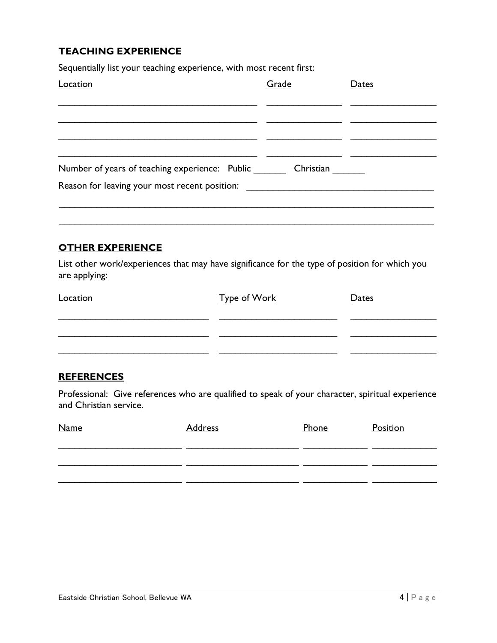## **TEACHING EXPERIENCE**

Sequentially list your teaching experience, with most recent first:

| Location                                       | Grade     | Dates |
|------------------------------------------------|-----------|-------|
|                                                |           |       |
| Number of years of teaching experience: Public | Christian |       |
| Reason for leaving your most recent position:  |           |       |

#### **OTHER EXPERIENCE**

List other work/experiences that may have significance for the type of position for which you are applying:

\_\_\_\_\_\_\_\_\_\_\_\_\_\_\_\_\_\_\_\_\_\_\_\_\_\_\_\_\_\_\_\_\_\_\_\_\_\_\_\_\_\_\_\_\_\_\_\_\_\_\_\_\_\_\_\_\_\_\_\_\_\_\_\_\_\_\_\_\_\_

| Location | <u>Type of Work</u> | Dates |
|----------|---------------------|-------|
|          |                     |       |
|          |                     |       |
|          |                     |       |

#### **REFERENCES**

Professional: Give references who are qualified to speak of your character, spiritual experience and Christian service.

| <b>Name</b> | <b>Address</b> | Phone | Position |
|-------------|----------------|-------|----------|
|             |                |       |          |
|             |                |       |          |